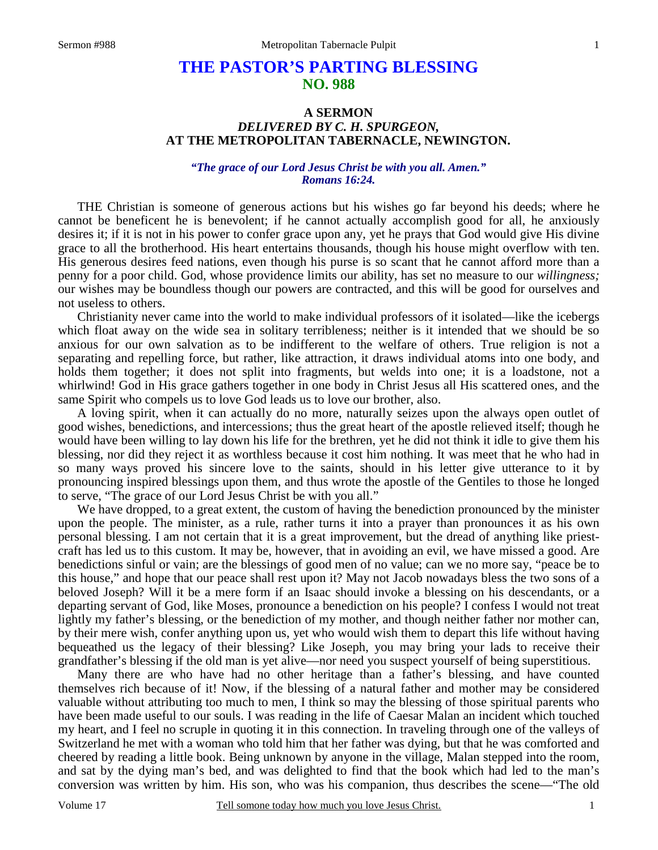# **THE PASTOR'S PARTING BLESSING NO. 988**

### **A SERMON**  *DELIVERED BY C. H. SPURGEON,*  **AT THE METROPOLITAN TABERNACLE, NEWINGTON.**

#### *"The grace of our Lord Jesus Christ be with you all. Amen." Romans 16:24.*

THE Christian is someone of generous actions but his wishes go far beyond his deeds; where he cannot be beneficent he is benevolent; if he cannot actually accomplish good for all, he anxiously desires it; if it is not in his power to confer grace upon any, yet he prays that God would give His divine grace to all the brotherhood. His heart entertains thousands, though his house might overflow with ten. His generous desires feed nations, even though his purse is so scant that he cannot afford more than a penny for a poor child. God, whose providence limits our ability, has set no measure to our *willingness;* our wishes may be boundless though our powers are contracted, and this will be good for ourselves and not useless to others.

Christianity never came into the world to make individual professors of it isolated—like the icebergs which float away on the wide sea in solitary terribleness; neither is it intended that we should be so anxious for our own salvation as to be indifferent to the welfare of others. True religion is not a separating and repelling force, but rather, like attraction, it draws individual atoms into one body, and holds them together; it does not split into fragments, but welds into one; it is a loadstone, not a whirlwind! God in His grace gathers together in one body in Christ Jesus all His scattered ones, and the same Spirit who compels us to love God leads us to love our brother, also.

A loving spirit, when it can actually do no more, naturally seizes upon the always open outlet of good wishes, benedictions, and intercessions; thus the great heart of the apostle relieved itself; though he would have been willing to lay down his life for the brethren, yet he did not think it idle to give them his blessing, nor did they reject it as worthless because it cost him nothing. It was meet that he who had in so many ways proved his sincere love to the saints, should in his letter give utterance to it by pronouncing inspired blessings upon them, and thus wrote the apostle of the Gentiles to those he longed to serve, "The grace of our Lord Jesus Christ be with you all."

We have dropped, to a great extent, the custom of having the benediction pronounced by the minister upon the people. The minister, as a rule, rather turns it into a prayer than pronounces it as his own personal blessing. I am not certain that it is a great improvement, but the dread of anything like priestcraft has led us to this custom. It may be, however, that in avoiding an evil, we have missed a good. Are benedictions sinful or vain; are the blessings of good men of no value; can we no more say, "peace be to this house," and hope that our peace shall rest upon it? May not Jacob nowadays bless the two sons of a beloved Joseph? Will it be a mere form if an Isaac should invoke a blessing on his descendants, or a departing servant of God, like Moses, pronounce a benediction on his people? I confess I would not treat lightly my father's blessing, or the benediction of my mother, and though neither father nor mother can, by their mere wish, confer anything upon us, yet who would wish them to depart this life without having bequeathed us the legacy of their blessing? Like Joseph, you may bring your lads to receive their grandfather's blessing if the old man is yet alive—nor need you suspect yourself of being superstitious.

Many there are who have had no other heritage than a father's blessing, and have counted themselves rich because of it! Now, if the blessing of a natural father and mother may be considered valuable without attributing too much to men, I think so may the blessing of those spiritual parents who have been made useful to our souls. I was reading in the life of Caesar Malan an incident which touched my heart, and I feel no scruple in quoting it in this connection. In traveling through one of the valleys of Switzerland he met with a woman who told him that her father was dying, but that he was comforted and cheered by reading a little book. Being unknown by anyone in the village, Malan stepped into the room, and sat by the dying man's bed, and was delighted to find that the book which had led to the man's conversion was written by him. His son, who was his companion, thus describes the scene—"The old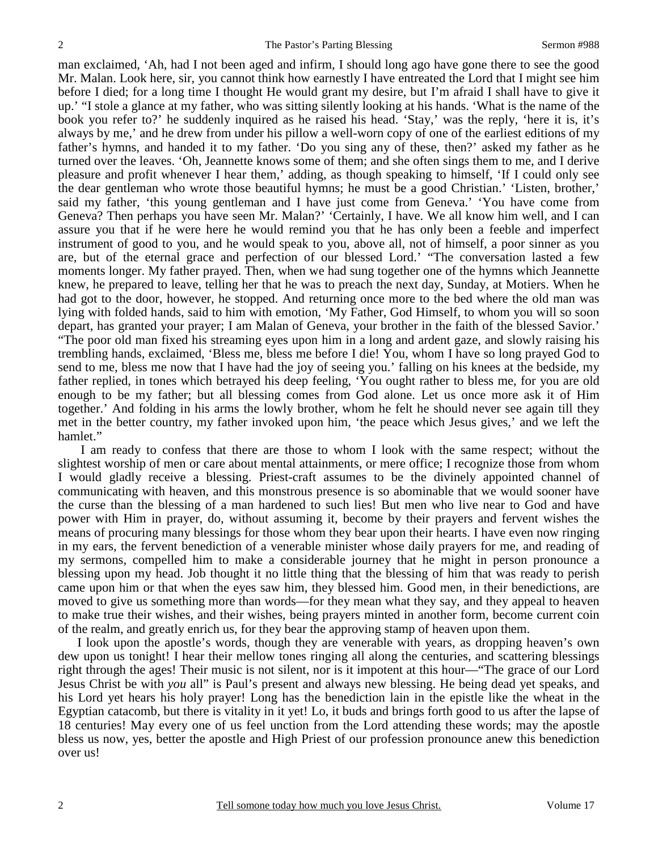man exclaimed, 'Ah, had I not been aged and infirm, I should long ago have gone there to see the good Mr. Malan. Look here, sir, you cannot think how earnestly I have entreated the Lord that I might see him before I died; for a long time I thought He would grant my desire, but I'm afraid I shall have to give it up.' "I stole a glance at my father, who was sitting silently looking at his hands. 'What is the name of the book you refer to?' he suddenly inquired as he raised his head. 'Stay,' was the reply, 'here it is, it's always by me,' and he drew from under his pillow a well-worn copy of one of the earliest editions of my father's hymns, and handed it to my father. 'Do you sing any of these, then?' asked my father as he turned over the leaves. 'Oh, Jeannette knows some of them; and she often sings them to me, and I derive pleasure and profit whenever I hear them,' adding, as though speaking to himself, 'If I could only see the dear gentleman who wrote those beautiful hymns; he must be a good Christian.' 'Listen, brother,' said my father, 'this young gentleman and I have just come from Geneva.' 'You have come from Geneva? Then perhaps you have seen Mr. Malan?' 'Certainly, I have. We all know him well, and I can assure you that if he were here he would remind you that he has only been a feeble and imperfect instrument of good to you, and he would speak to you, above all, not of himself, a poor sinner as you are, but of the eternal grace and perfection of our blessed Lord.' "The conversation lasted a few moments longer. My father prayed. Then, when we had sung together one of the hymns which Jeannette knew, he prepared to leave, telling her that he was to preach the next day, Sunday, at Motiers. When he had got to the door, however, he stopped. And returning once more to the bed where the old man was lying with folded hands, said to him with emotion, 'My Father, God Himself, to whom you will so soon depart, has granted your prayer; I am Malan of Geneva, your brother in the faith of the blessed Savior.' "The poor old man fixed his streaming eyes upon him in a long and ardent gaze, and slowly raising his trembling hands, exclaimed, 'Bless me, bless me before I die! You, whom I have so long prayed God to send to me, bless me now that I have had the joy of seeing you.' falling on his knees at the bedside, my father replied, in tones which betrayed his deep feeling, 'You ought rather to bless me, for you are old enough to be my father; but all blessing comes from God alone. Let us once more ask it of Him together.' And folding in his arms the lowly brother, whom he felt he should never see again till they met in the better country, my father invoked upon him, 'the peace which Jesus gives,' and we left the hamlet."

 I am ready to confess that there are those to whom I look with the same respect; without the slightest worship of men or care about mental attainments, or mere office; I recognize those from whom I would gladly receive a blessing. Priest-craft assumes to be the divinely appointed channel of communicating with heaven, and this monstrous presence is so abominable that we would sooner have the curse than the blessing of a man hardened to such lies! But men who live near to God and have power with Him in prayer, do, without assuming it, become by their prayers and fervent wishes the means of procuring many blessings for those whom they bear upon their hearts. I have even now ringing in my ears, the fervent benediction of a venerable minister whose daily prayers for me, and reading of my sermons, compelled him to make a considerable journey that he might in person pronounce a blessing upon my head. Job thought it no little thing that the blessing of him that was ready to perish came upon him or that when the eyes saw him, they blessed him. Good men, in their benedictions, are moved to give us something more than words—for they mean what they say, and they appeal to heaven to make true their wishes, and their wishes, being prayers minted in another form, become current coin of the realm, and greatly enrich us, for they bear the approving stamp of heaven upon them.

I look upon the apostle's words, though they are venerable with years, as dropping heaven's own dew upon us tonight! I hear their mellow tones ringing all along the centuries, and scattering blessings right through the ages! Their music is not silent, nor is it impotent at this hour—"The grace of our Lord Jesus Christ be with *you* all" is Paul's present and always new blessing. He being dead yet speaks, and his Lord yet hears his holy prayer! Long has the benediction lain in the epistle like the wheat in the Egyptian catacomb, but there is vitality in it yet! Lo, it buds and brings forth good to us after the lapse of 18 centuries! May every one of us feel unction from the Lord attending these words; may the apostle bless us now, yes, better the apostle and High Priest of our profession pronounce anew this benediction over us!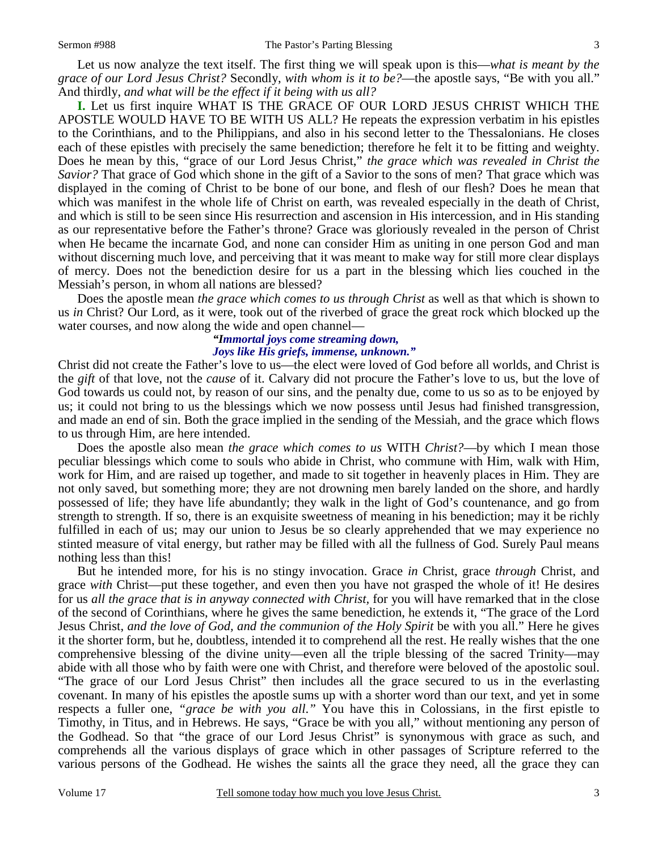3

Let us now analyze the text itself. The first thing we will speak upon is this—*what is meant by the grace of our Lord Jesus Christ?* Secondly, *with whom is it to be?*—the apostle says, "Be with you all." And thirdly, *and what will be the effect if it being with us all?*

**I.** Let us first inquire WHAT IS THE GRACE OF OUR LORD JESUS CHRIST WHICH THE APOSTLE WOULD HAVE TO BE WITH US ALL? He repeats the expression verbatim in his epistles to the Corinthians, and to the Philippians, and also in his second letter to the Thessalonians. He closes each of these epistles with precisely the same benediction; therefore he felt it to be fitting and weighty. Does he mean by this, "grace of our Lord Jesus Christ," *the grace which was revealed in Christ the Savior?* That grace of God which shone in the gift of a Savior to the sons of men? That grace which was displayed in the coming of Christ to be bone of our bone, and flesh of our flesh? Does he mean that which was manifest in the whole life of Christ on earth, was revealed especially in the death of Christ, and which is still to be seen since His resurrection and ascension in His intercession, and in His standing as our representative before the Father's throne? Grace was gloriously revealed in the person of Christ when He became the incarnate God, and none can consider Him as uniting in one person God and man without discerning much love, and perceiving that it was meant to make way for still more clear displays of mercy. Does not the benediction desire for us a part in the blessing which lies couched in the Messiah's person, in whom all nations are blessed?

Does the apostle mean *the grace which comes to us through Christ* as well as that which is shown to us *in* Christ? Our Lord, as it were, took out of the riverbed of grace the great rock which blocked up the water courses, and now along the wide and open channel—

# *"Immortal joys come streaming down, Joys like His griefs, immense, unknown."*

Christ did not create the Father's love to us—the elect were loved of God before all worlds, and Christ is the *gift* of that love, not the *cause* of it. Calvary did not procure the Father's love to us, but the love of God towards us could not, by reason of our sins, and the penalty due, come to us so as to be enjoyed by us; it could not bring to us the blessings which we now possess until Jesus had finished transgression, and made an end of sin. Both the grace implied in the sending of the Messiah, and the grace which flows to us through Him, are here intended.

Does the apostle also mean *the grace which comes to us* WITH *Christ?*—by which I mean those peculiar blessings which come to souls who abide in Christ, who commune with Him, walk with Him, work for Him, and are raised up together, and made to sit together in heavenly places in Him. They are not only saved, but something more; they are not drowning men barely landed on the shore, and hardly possessed of life; they have life abundantly; they walk in the light of God's countenance, and go from strength to strength. If so, there is an exquisite sweetness of meaning in his benediction; may it be richly fulfilled in each of us; may our union to Jesus be so clearly apprehended that we may experience no stinted measure of vital energy, but rather may be filled with all the fullness of God. Surely Paul means nothing less than this!

But he intended more, for his is no stingy invocation. Grace *in* Christ, grace *through* Christ, and grace *with* Christ—put these together, and even then you have not grasped the whole of it! He desires for us *all the grace that is in anyway connected with Christ,* for you will have remarked that in the close of the second of Corinthians, where he gives the same benediction, he extends it, "The grace of the Lord Jesus Christ, *and the love of God, and the communion of the Holy Spirit* be with you all." Here he gives it the shorter form, but he, doubtless, intended it to comprehend all the rest. He really wishes that the one comprehensive blessing of the divine unity—even all the triple blessing of the sacred Trinity—may abide with all those who by faith were one with Christ, and therefore were beloved of the apostolic soul. "The grace of our Lord Jesus Christ" then includes all the grace secured to us in the everlasting covenant. In many of his epistles the apostle sums up with a shorter word than our text, and yet in some respects a fuller one, *"grace be with you all*.*"* You have this in Colossians, in the first epistle to Timothy, in Titus, and in Hebrews. He says, "Grace be with you all," without mentioning any person of the Godhead. So that "the grace of our Lord Jesus Christ" is synonymous with grace as such, and comprehends all the various displays of grace which in other passages of Scripture referred to the various persons of the Godhead. He wishes the saints all the grace they need, all the grace they can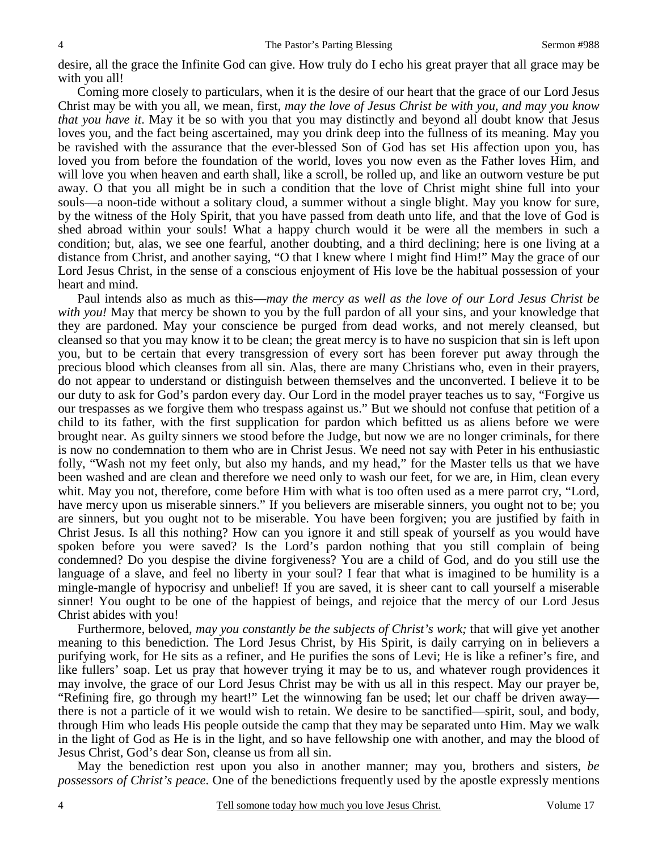desire, all the grace the Infinite God can give. How truly do I echo his great prayer that all grace may be with you all!

Coming more closely to particulars, when it is the desire of our heart that the grace of our Lord Jesus Christ may be with you all, we mean, first, *may the love of Jesus Christ be with you, and may you know that you have it*. May it be so with you that you may distinctly and beyond all doubt know that Jesus loves you, and the fact being ascertained, may you drink deep into the fullness of its meaning. May you be ravished with the assurance that the ever-blessed Son of God has set His affection upon you, has loved you from before the foundation of the world, loves you now even as the Father loves Him, and will love you when heaven and earth shall, like a scroll, be rolled up, and like an outworn vesture be put away. O that you all might be in such a condition that the love of Christ might shine full into your souls—a noon-tide without a solitary cloud, a summer without a single blight. May you know for sure, by the witness of the Holy Spirit, that you have passed from death unto life, and that the love of God is shed abroad within your souls! What a happy church would it be were all the members in such a condition; but, alas, we see one fearful, another doubting, and a third declining; here is one living at a distance from Christ, and another saying, "O that I knew where I might find Him!" May the grace of our Lord Jesus Christ, in the sense of a conscious enjoyment of His love be the habitual possession of your heart and mind.

Paul intends also as much as this—*may the mercy as well as the love of our Lord Jesus Christ be with you!* May that mercy be shown to you by the full pardon of all your sins, and your knowledge that they are pardoned. May your conscience be purged from dead works, and not merely cleansed, but cleansed so that you may know it to be clean; the great mercy is to have no suspicion that sin is left upon you, but to be certain that every transgression of every sort has been forever put away through the precious blood which cleanses from all sin. Alas, there are many Christians who, even in their prayers, do not appear to understand or distinguish between themselves and the unconverted. I believe it to be our duty to ask for God's pardon every day. Our Lord in the model prayer teaches us to say, "Forgive us our trespasses as we forgive them who trespass against us." But we should not confuse that petition of a child to its father, with the first supplication for pardon which befitted us as aliens before we were brought near. As guilty sinners we stood before the Judge, but now we are no longer criminals, for there is now no condemnation to them who are in Christ Jesus. We need not say with Peter in his enthusiastic folly, "Wash not my feet only, but also my hands, and my head," for the Master tells us that we have been washed and are clean and therefore we need only to wash our feet, for we are, in Him, clean every whit. May you not, therefore, come before Him with what is too often used as a mere parrot cry, "Lord, have mercy upon us miserable sinners." If you believers are miserable sinners, you ought not to be; you are sinners, but you ought not to be miserable. You have been forgiven; you are justified by faith in Christ Jesus. Is all this nothing? How can you ignore it and still speak of yourself as you would have spoken before you were saved? Is the Lord's pardon nothing that you still complain of being condemned? Do you despise the divine forgiveness? You are a child of God, and do you still use the language of a slave, and feel no liberty in your soul? I fear that what is imagined to be humility is a mingle-mangle of hypocrisy and unbelief! If you are saved, it is sheer cant to call yourself a miserable sinner! You ought to be one of the happiest of beings, and rejoice that the mercy of our Lord Jesus Christ abides with you!

Furthermore, beloved, *may you constantly be the subjects of Christ's work;* that will give yet another meaning to this benediction. The Lord Jesus Christ, by His Spirit, is daily carrying on in believers a purifying work, for He sits as a refiner, and He purifies the sons of Levi; He is like a refiner's fire, and like fullers' soap. Let us pray that however trying it may be to us, and whatever rough providences it may involve, the grace of our Lord Jesus Christ may be with us all in this respect. May our prayer be, "Refining fire, go through my heart!" Let the winnowing fan be used; let our chaff be driven away there is not a particle of it we would wish to retain. We desire to be sanctified—spirit, soul, and body, through Him who leads His people outside the camp that they may be separated unto Him. May we walk in the light of God as He is in the light, and so have fellowship one with another, and may the blood of Jesus Christ, God's dear Son, cleanse us from all sin.

May the benediction rest upon you also in another manner; may you, brothers and sisters, *be possessors of Christ's peace*. One of the benedictions frequently used by the apostle expressly mentions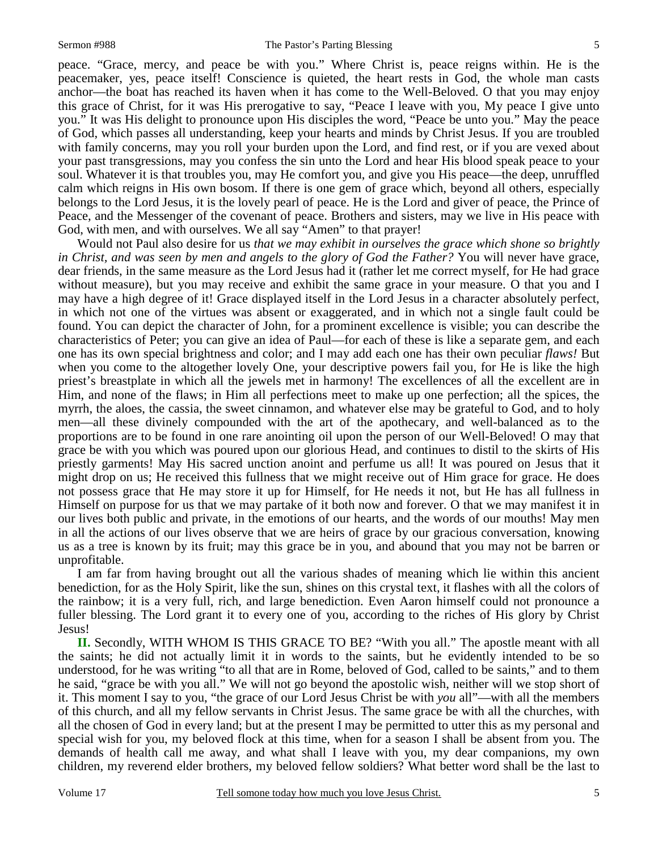peace. "Grace, mercy, and peace be with you." Where Christ is, peace reigns within. He is the peacemaker, yes, peace itself! Conscience is quieted, the heart rests in God, the whole man casts anchor—the boat has reached its haven when it has come to the Well-Beloved. O that you may enjoy this grace of Christ, for it was His prerogative to say, "Peace I leave with you, My peace I give unto you." It was His delight to pronounce upon His disciples the word, "Peace be unto you." May the peace of God, which passes all understanding, keep your hearts and minds by Christ Jesus. If you are troubled with family concerns, may you roll your burden upon the Lord, and find rest, or if you are vexed about your past transgressions, may you confess the sin unto the Lord and hear His blood speak peace to your soul. Whatever it is that troubles you, may He comfort you, and give you His peace—the deep, unruffled calm which reigns in His own bosom. If there is one gem of grace which, beyond all others, especially belongs to the Lord Jesus, it is the lovely pearl of peace. He is the Lord and giver of peace, the Prince of Peace, and the Messenger of the covenant of peace. Brothers and sisters, may we live in His peace with God, with men, and with ourselves. We all say "Amen" to that prayer!

Would not Paul also desire for us *that we may exhibit in ourselves the grace which shone so brightly in Christ, and was seen by men and angels to the glory of God the Father?* You will never have grace, dear friends, in the same measure as the Lord Jesus had it (rather let me correct myself, for He had grace without measure), but you may receive and exhibit the same grace in your measure. O that you and I may have a high degree of it! Grace displayed itself in the Lord Jesus in a character absolutely perfect, in which not one of the virtues was absent or exaggerated, and in which not a single fault could be found. You can depict the character of John, for a prominent excellence is visible; you can describe the characteristics of Peter; you can give an idea of Paul—for each of these is like a separate gem, and each one has its own special brightness and color; and I may add each one has their own peculiar *flaws!* But when you come to the altogether lovely One, your descriptive powers fail you, for He is like the high priest's breastplate in which all the jewels met in harmony! The excellences of all the excellent are in Him, and none of the flaws; in Him all perfections meet to make up one perfection; all the spices, the myrrh, the aloes, the cassia, the sweet cinnamon, and whatever else may be grateful to God, and to holy men—all these divinely compounded with the art of the apothecary, and well-balanced as to the proportions are to be found in one rare anointing oil upon the person of our Well-Beloved! O may that grace be with you which was poured upon our glorious Head, and continues to distil to the skirts of His priestly garments! May His sacred unction anoint and perfume us all! It was poured on Jesus that it might drop on us; He received this fullness that we might receive out of Him grace for grace. He does not possess grace that He may store it up for Himself, for He needs it not, but He has all fullness in Himself on purpose for us that we may partake of it both now and forever. O that we may manifest it in our lives both public and private, in the emotions of our hearts, and the words of our mouths! May men in all the actions of our lives observe that we are heirs of grace by our gracious conversation, knowing us as a tree is known by its fruit; may this grace be in you, and abound that you may not be barren or unprofitable.

I am far from having brought out all the various shades of meaning which lie within this ancient benediction, for as the Holy Spirit, like the sun, shines on this crystal text, it flashes with all the colors of the rainbow; it is a very full, rich, and large benediction. Even Aaron himself could not pronounce a fuller blessing. The Lord grant it to every one of you, according to the riches of His glory by Christ Jesus!

**II.** Secondly, WITH WHOM IS THIS GRACE TO BE? "With you all." The apostle meant with all the saints; he did not actually limit it in words to the saints, but he evidently intended to be so understood, for he was writing "to all that are in Rome, beloved of God, called to be saints," and to them he said, "grace be with you all." We will not go beyond the apostolic wish, neither will we stop short of it. This moment I say to you, "the grace of our Lord Jesus Christ be with *you* all"—with all the members of this church, and all my fellow servants in Christ Jesus. The same grace be with all the churches, with all the chosen of God in every land; but at the present I may be permitted to utter this as my personal and special wish for you, my beloved flock at this time, when for a season I shall be absent from you. The demands of health call me away, and what shall I leave with you, my dear companions, my own children, my reverend elder brothers, my beloved fellow soldiers? What better word shall be the last to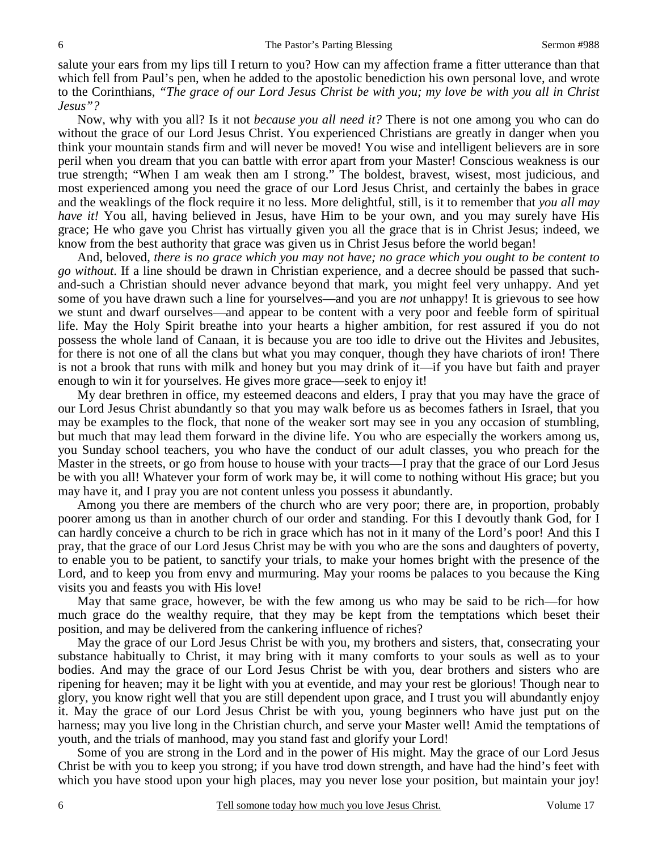salute your ears from my lips till I return to you? How can my affection frame a fitter utterance than that which fell from Paul's pen, when he added to the apostolic benediction his own personal love, and wrote to the Corinthians, *"The grace of our Lord Jesus Christ be with you; my love be with you all in Christ Jesus"?*

Now, why with you all? Is it not *because you all need it?* There is not one among you who can do without the grace of our Lord Jesus Christ. You experienced Christians are greatly in danger when you think your mountain stands firm and will never be moved! You wise and intelligent believers are in sore peril when you dream that you can battle with error apart from your Master! Conscious weakness is our true strength; "When I am weak then am I strong." The boldest, bravest, wisest, most judicious, and most experienced among you need the grace of our Lord Jesus Christ, and certainly the babes in grace and the weaklings of the flock require it no less. More delightful, still, is it to remember that *you all may have it!* You all, having believed in Jesus, have Him to be your own, and you may surely have His grace; He who gave you Christ has virtually given you all the grace that is in Christ Jesus; indeed, we know from the best authority that grace was given us in Christ Jesus before the world began!

And, beloved, *there is no grace which you may not have; no grace which you ought to be content to go without*. If a line should be drawn in Christian experience, and a decree should be passed that suchand-such a Christian should never advance beyond that mark, you might feel very unhappy. And yet some of you have drawn such a line for yourselves—and you are *not* unhappy! It is grievous to see how we stunt and dwarf ourselves—and appear to be content with a very poor and feeble form of spiritual life. May the Holy Spirit breathe into your hearts a higher ambition, for rest assured if you do not possess the whole land of Canaan, it is because you are too idle to drive out the Hivites and Jebusites, for there is not one of all the clans but what you may conquer, though they have chariots of iron! There is not a brook that runs with milk and honey but you may drink of it—if you have but faith and prayer enough to win it for yourselves. He gives more grace—seek to enjoy it!

My dear brethren in office, my esteemed deacons and elders, I pray that you may have the grace of our Lord Jesus Christ abundantly so that you may walk before us as becomes fathers in Israel, that you may be examples to the flock, that none of the weaker sort may see in you any occasion of stumbling, but much that may lead them forward in the divine life. You who are especially the workers among us, you Sunday school teachers, you who have the conduct of our adult classes, you who preach for the Master in the streets, or go from house to house with your tracts—I pray that the grace of our Lord Jesus be with you all! Whatever your form of work may be, it will come to nothing without His grace; but you may have it, and I pray you are not content unless you possess it abundantly.

Among you there are members of the church who are very poor; there are, in proportion, probably poorer among us than in another church of our order and standing. For this I devoutly thank God, for I can hardly conceive a church to be rich in grace which has not in it many of the Lord's poor! And this I pray, that the grace of our Lord Jesus Christ may be with you who are the sons and daughters of poverty, to enable you to be patient, to sanctify your trials, to make your homes bright with the presence of the Lord, and to keep you from envy and murmuring. May your rooms be palaces to you because the King visits you and feasts you with His love!

May that same grace, however, be with the few among us who may be said to be rich—for how much grace do the wealthy require, that they may be kept from the temptations which beset their position, and may be delivered from the cankering influence of riches?

May the grace of our Lord Jesus Christ be with you, my brothers and sisters, that, consecrating your substance habitually to Christ, it may bring with it many comforts to your souls as well as to your bodies. And may the grace of our Lord Jesus Christ be with you, dear brothers and sisters who are ripening for heaven; may it be light with you at eventide, and may your rest be glorious! Though near to glory, you know right well that you are still dependent upon grace, and I trust you will abundantly enjoy it. May the grace of our Lord Jesus Christ be with you, young beginners who have just put on the harness; may you live long in the Christian church, and serve your Master well! Amid the temptations of youth, and the trials of manhood, may you stand fast and glorify your Lord!

Some of you are strong in the Lord and in the power of His might. May the grace of our Lord Jesus Christ be with you to keep you strong; if you have trod down strength, and have had the hind's feet with which you have stood upon your high places, may you never lose your position, but maintain your joy!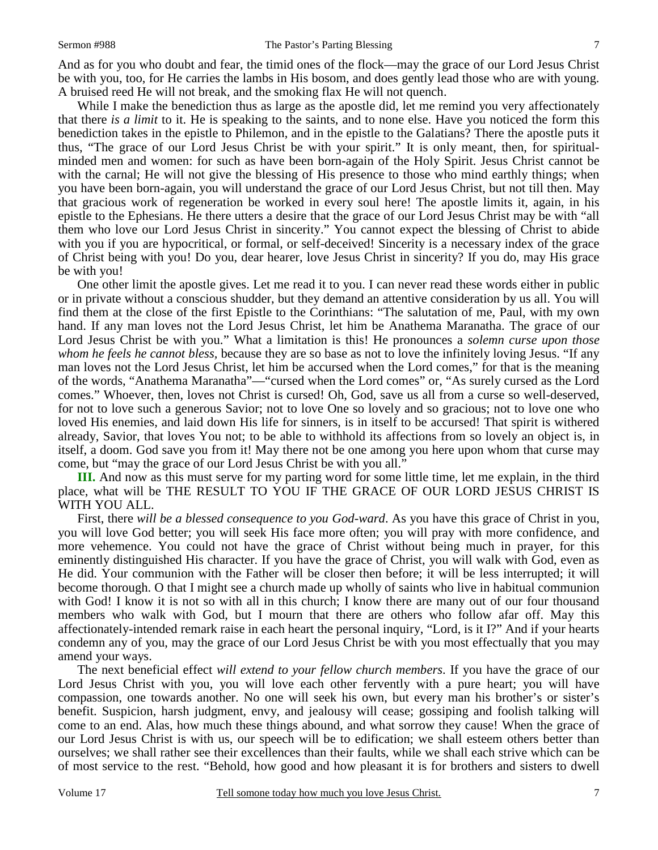And as for you who doubt and fear, the timid ones of the flock—may the grace of our Lord Jesus Christ be with you, too, for He carries the lambs in His bosom, and does gently lead those who are with young. A bruised reed He will not break, and the smoking flax He will not quench.

While I make the benediction thus as large as the apostle did, let me remind you very affectionately that there *is a limit* to it. He is speaking to the saints, and to none else. Have you noticed the form this benediction takes in the epistle to Philemon, and in the epistle to the Galatians? There the apostle puts it thus, "The grace of our Lord Jesus Christ be with your spirit." It is only meant, then, for spiritualminded men and women: for such as have been born-again of the Holy Spirit. Jesus Christ cannot be with the carnal; He will not give the blessing of His presence to those who mind earthly things; when you have been born-again, you will understand the grace of our Lord Jesus Christ, but not till then. May that gracious work of regeneration be worked in every soul here! The apostle limits it, again, in his epistle to the Ephesians. He there utters a desire that the grace of our Lord Jesus Christ may be with "all them who love our Lord Jesus Christ in sincerity." You cannot expect the blessing of Christ to abide with you if you are hypocritical, or formal, or self-deceived! Sincerity is a necessary index of the grace of Christ being with you! Do you, dear hearer, love Jesus Christ in sincerity? If you do, may His grace be with you!

One other limit the apostle gives. Let me read it to you. I can never read these words either in public or in private without a conscious shudder, but they demand an attentive consideration by us all. You will find them at the close of the first Epistle to the Corinthians: "The salutation of me, Paul, with my own hand. If any man loves not the Lord Jesus Christ, let him be Anathema Maranatha. The grace of our Lord Jesus Christ be with you." What a limitation is this! He pronounces a *solemn curse upon those whom he feels he cannot bless,* because they are so base as not to love the infinitely loving Jesus. "If any man loves not the Lord Jesus Christ, let him be accursed when the Lord comes," for that is the meaning of the words, "Anathema Maranatha"—"cursed when the Lord comes" or, "As surely cursed as the Lord comes." Whoever, then, loves not Christ is cursed! Oh, God, save us all from a curse so well-deserved, for not to love such a generous Savior; not to love One so lovely and so gracious; not to love one who loved His enemies, and laid down His life for sinners, is in itself to be accursed! That spirit is withered already, Savior, that loves You not; to be able to withhold its affections from so lovely an object is, in itself, a doom. God save you from it! May there not be one among you here upon whom that curse may come, but "may the grace of our Lord Jesus Christ be with you all."

**III.** And now as this must serve for my parting word for some little time, let me explain, in the third place, what will be THE RESULT TO YOU IF THE GRACE OF OUR LORD JESUS CHRIST IS WITH YOU ALL.

First, there *will be a blessed consequence to you God-ward*. As you have this grace of Christ in you, you will love God better; you will seek His face more often; you will pray with more confidence, and more vehemence. You could not have the grace of Christ without being much in prayer, for this eminently distinguished His character. If you have the grace of Christ, you will walk with God, even as He did. Your communion with the Father will be closer then before; it will be less interrupted; it will become thorough. O that I might see a church made up wholly of saints who live in habitual communion with God! I know it is not so with all in this church; I know there are many out of our four thousand members who walk with God, but I mourn that there are others who follow afar off. May this affectionately-intended remark raise in each heart the personal inquiry, "Lord, is it I?" And if your hearts condemn any of you, may the grace of our Lord Jesus Christ be with you most effectually that you may amend your ways.

The next beneficial effect *will extend to your fellow church members*. If you have the grace of our Lord Jesus Christ with you, you will love each other fervently with a pure heart; you will have compassion, one towards another. No one will seek his own, but every man his brother's or sister's benefit. Suspicion, harsh judgment, envy, and jealousy will cease; gossiping and foolish talking will come to an end. Alas, how much these things abound, and what sorrow they cause! When the grace of our Lord Jesus Christ is with us, our speech will be to edification; we shall esteem others better than ourselves; we shall rather see their excellences than their faults, while we shall each strive which can be of most service to the rest. "Behold, how good and how pleasant it is for brothers and sisters to dwell

7